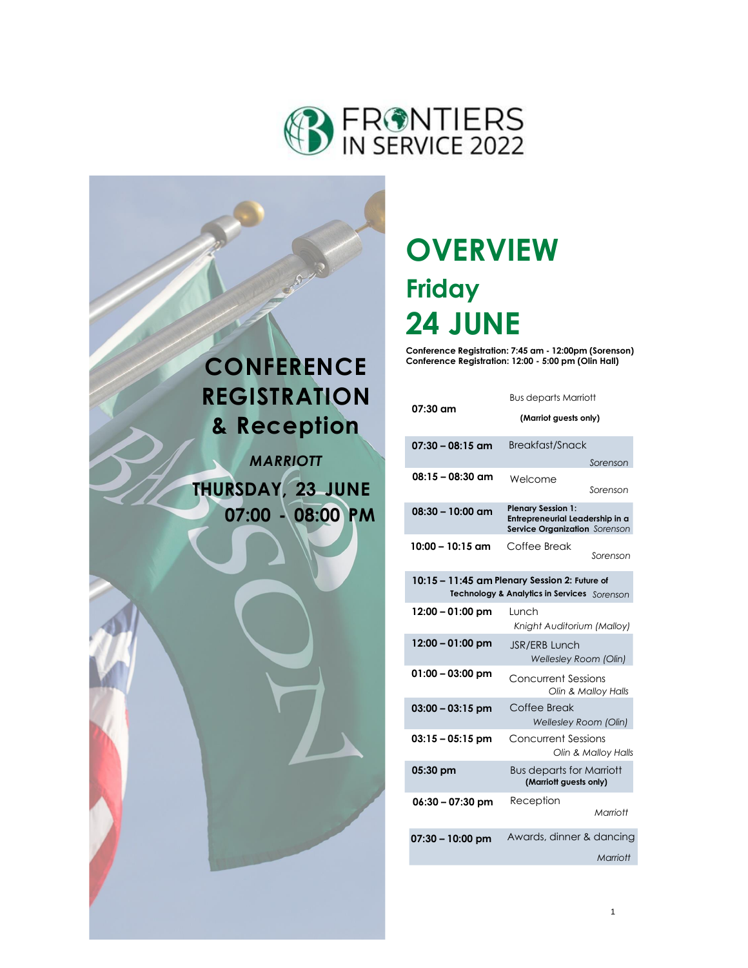



# **OVERVIEW Friday 24 JUNE**

**Conference Registration: 7:45 am - 12:00pm (Sorenson) Conference Registration: 12:00 - 5:00 pm (Olin Hall)**

|                                                                                              | <b>Bus departs Marriott</b>                                                                   |  |  |
|----------------------------------------------------------------------------------------------|-----------------------------------------------------------------------------------------------|--|--|
| 07:30 am                                                                                     | (Marriot guests only)                                                                         |  |  |
| $07:30 - 08:15$ am                                                                           | Breakfast/Snack                                                                               |  |  |
|                                                                                              | Sorenson                                                                                      |  |  |
| $08:15 - 08:30$ am                                                                           | Welcome<br>Sorenson                                                                           |  |  |
| $08:30 - 10:00$ am                                                                           | <b>Plenary Session 1:</b><br>Entrepreneurial Leadership in a<br>Service Organization Sorenson |  |  |
| 10:00 – 10:15 am                                                                             | Coffee Break<br>Sorenson                                                                      |  |  |
| 10:15 - 11:45 am Plenary Session 2: Future of<br>Technology & Analytics in Services Sorenson |                                                                                               |  |  |
| 12:00 - 01:00 pm                                                                             | Lunch<br>Knight Auditorium (Malloy)                                                           |  |  |
| 12:00 - 01:00 pm                                                                             | JSR/ERB Lunch<br><b>Wellesley Room (Olin)</b>                                                 |  |  |
| $01:00 - 03:00$ pm                                                                           | <b>Concurrent Sessions</b><br>Olin & Malloy Halls                                             |  |  |
| $03:00 - 03:15$ pm                                                                           | Coffee Break<br>Wellesley Room (Olin)                                                         |  |  |
| $03:15 - 05:15$ pm                                                                           | <b>Concurrent Sessions</b><br>Olin & Malloy Halls                                             |  |  |
| 05:30 pm                                                                                     | <b>Bus departs for Marriott</b><br>(Marriott guests only)                                     |  |  |
| 06:30 - 07:30 pm                                                                             | Reception<br>Marriott                                                                         |  |  |
| $07:30 - 10:00$ pm                                                                           | Awards, dinner & dancing                                                                      |  |  |
|                                                                                              | Marriott                                                                                      |  |  |
|                                                                                              |                                                                                               |  |  |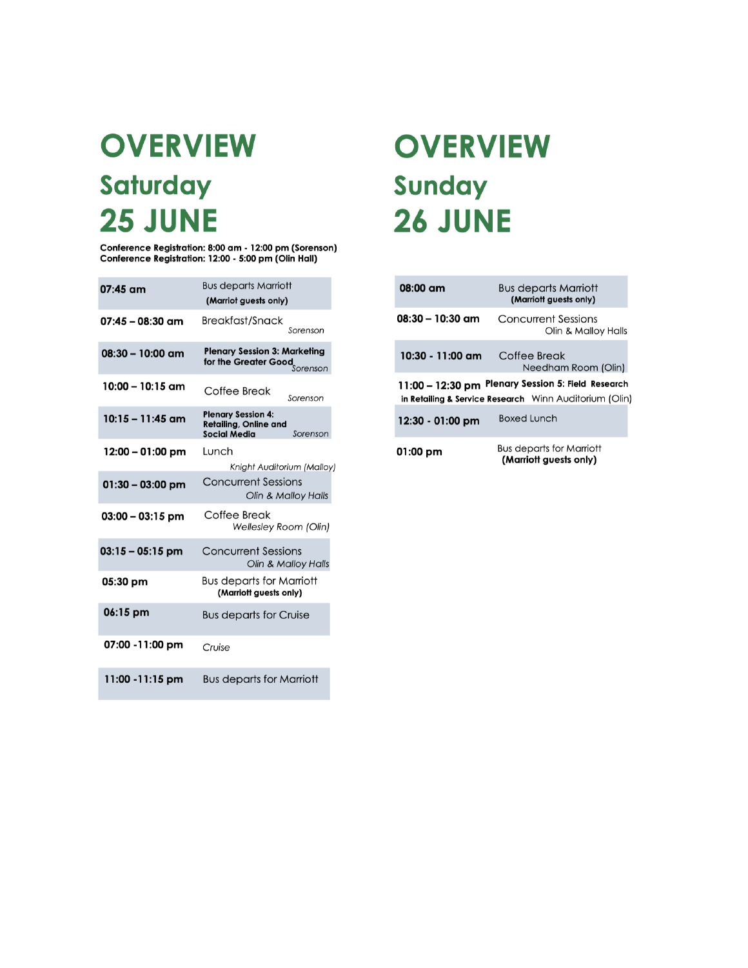# **OVERVIEW** Saturday **25 JUNE**

Conference Registration: 8:00 am - 12:00 pm (Sorenson)<br>Conference Registration: 12:00 - 5:00 pm (Olin Hall)

| 07:45 am           | <b>Bus departs Marriott</b><br>(Marriot guests only)                                         |  |
|--------------------|----------------------------------------------------------------------------------------------|--|
| 07:45 – 08:30 am   | Breakfast/Snack<br>Sorenson                                                                  |  |
| $08:30 - 10:00$ am | <b>Plenary Session 3: Marketing</b><br>for the Greater Good<br>Sorenson                      |  |
| 10:00 – 10:15 am   | Coffee Break<br>Sorenson                                                                     |  |
| $10:15 - 11:45$ am | <b>Plenary Session 4:</b><br><b>Retailing, Online and</b><br><b>Social Media</b><br>Sorenson |  |
| $12:00 - 01:00$ pm | Lunch<br>Knight Auditorium (Malloy)                                                          |  |
| $01:30 - 03:00$ pm | <b>Concurrent Sessions</b><br>Olin & Malloy Halls                                            |  |
| $03:00 - 03:15$ pm | Coffee Break<br><b>Wellesley Room (Olin)</b>                                                 |  |
| $03:15 - 05:15$ pm | <b>Concurrent Sessions</b><br>Olin & Malloy Halls                                            |  |
| 05:30 pm           | <b>Bus departs for Marriott</b><br>(Marriott guests only)                                    |  |
| 06:15 pm           | <b>Bus departs for Cruise</b>                                                                |  |
| 07:00 -11:00 pm    | Cruise                                                                                       |  |
| 11:00 - 11:15 pm   | <b>Bus departs for Marriott</b>                                                              |  |

# **OVERVIEW** Sunday **26 JUNE**

| $08:00 \text{ cm}$ | <b>Bus departs Marriott</b><br>(Marriott guests only)                                                                   |  |
|--------------------|-------------------------------------------------------------------------------------------------------------------------|--|
| $08:30 - 10:30$ am | <b>Concurrent Sessions</b><br>Olin & Malloy Halls                                                                       |  |
| 10:30 - 11:00 am   | Coffee Break<br>Needham Room (Olin)                                                                                     |  |
|                    | 11:00 - 12:30 pm Plenary Session 5: Field Research<br><b>in Retailing &amp; Service Research</b> Winn Auditorium (Olin) |  |
| 12:30 - 01:00 pm   | <b>Boxed Lunch</b>                                                                                                      |  |
| 01:00 pm           | Bus departs for Marriott<br>(Marriott guests only)                                                                      |  |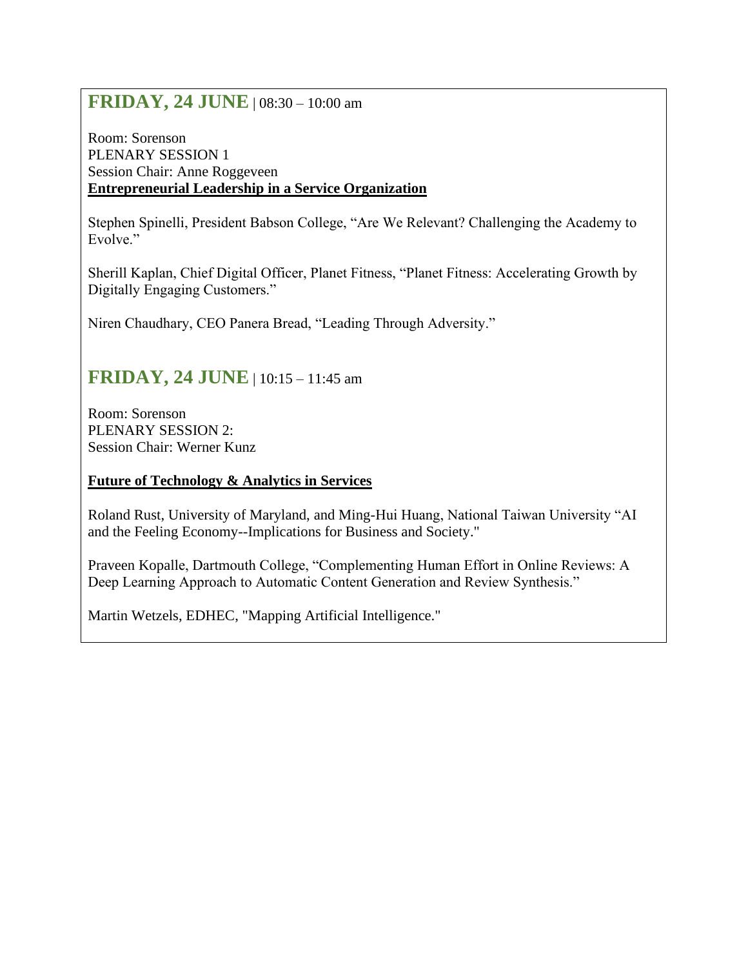# **FRIDAY, 24 JUNE** | 08:30 – 10:00 am

Room: Sorenson PLENARY SESSION 1 Session Chair: Anne Roggeveen **Entrepreneurial Leadership in a Service Organization**

Stephen Spinelli, President Babson College, "Are We Relevant? Challenging the Academy to Evolve."

Sherill Kaplan, Chief Digital Officer, Planet Fitness, "Planet Fitness: Accelerating Growth by Digitally Engaging Customers."

Niren Chaudhary, CEO Panera Bread, "Leading Through Adversity."

# **FRIDAY, 24 JUNE** | 10:15 – 11:45 am

Room: Sorenson PLENARY SESSION 2: Session Chair: Werner Kunz

# **Future of Technology & Analytics in Services**

Roland Rust, University of Maryland, and Ming-Hui Huang, National Taiwan University "AI and the Feeling Economy--Implications for Business and Society."

Praveen Kopalle, Dartmouth College, "Complementing Human Effort in Online Reviews: A Deep Learning Approach to Automatic Content Generation and Review Synthesis."

Martin Wetzels, EDHEC, "Mapping Artificial Intelligence."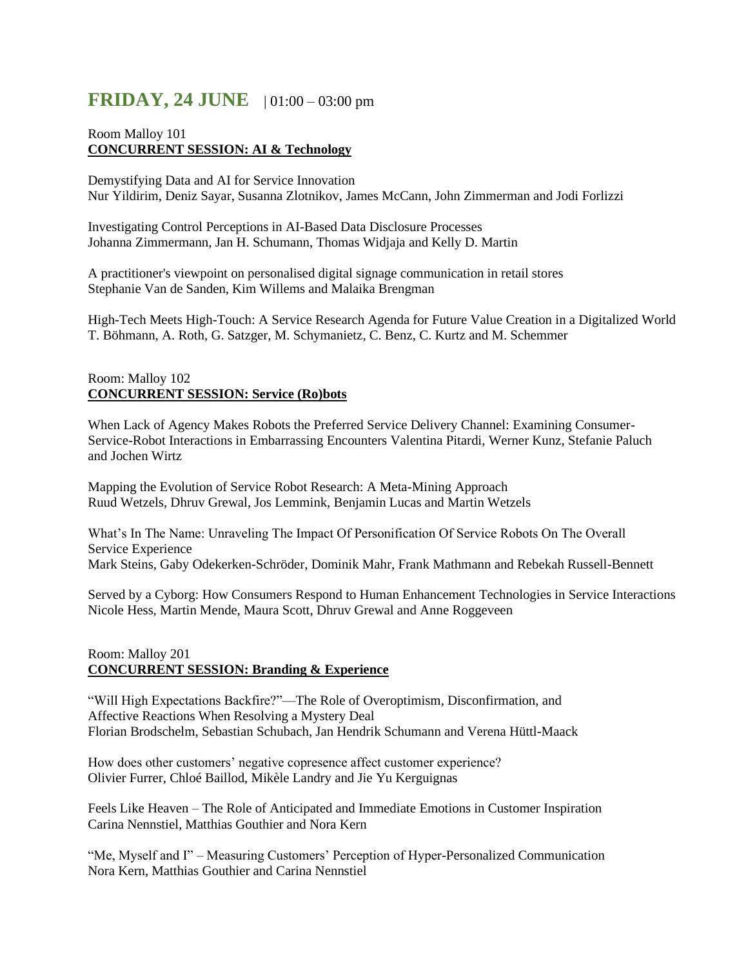# **FRIDAY, 24 JUNE** | 01:00 – 03:00 pm

## Room Malloy 101 **CONCURRENT SESSION: AI & Technology**

Demystifying Data and AI for Service Innovation Nur Yildirim, Deniz Sayar, Susanna Zlotnikov, James McCann, John Zimmerman and Jodi Forlizzi

Investigating Control Perceptions in AI-Based Data Disclosure Processes Johanna Zimmermann, Jan H. Schumann, Thomas Widjaja and Kelly D. Martin

A practitioner's viewpoint on personalised digital signage communication in retail stores Stephanie Van de Sanden, Kim Willems and Malaika Brengman

High-Tech Meets High-Touch: A Service Research Agenda for Future Value Creation in a Digitalized World T. Böhmann, A. Roth, G. Satzger, M. Schymanietz, C. Benz, C. Kurtz and M. Schemmer

#### Room: Malloy 102 **CONCURRENT SESSION: Service (Ro)bots**

When Lack of Agency Makes Robots the Preferred Service Delivery Channel: Examining Consumer-Service-Robot Interactions in Embarrassing Encounters Valentina Pitardi, Werner Kunz, Stefanie Paluch and Jochen Wirtz

Mapping the Evolution of Service Robot Research: A Meta-Mining Approach Ruud Wetzels, Dhruv Grewal, Jos Lemmink, Benjamin Lucas and Martin Wetzels

What's In The Name: Unraveling The Impact Of Personification Of Service Robots On The Overall Service Experience Mark Steins, Gaby Odekerken-Schröder, Dominik Mahr, Frank Mathmann and Rebekah Russell-Bennett

Served by a Cyborg: How Consumers Respond to Human Enhancement Technologies in Service Interactions Nicole Hess, Martin Mende, Maura Scott, Dhruv Grewal and Anne Roggeveen

## Room: Malloy 201 **CONCURRENT SESSION: Branding & Experience**

"Will High Expectations Backfire?"—The Role of Overoptimism, Disconfirmation, and Affective Reactions When Resolving a Mystery Deal Florian Brodschelm, Sebastian Schubach, Jan Hendrik Schumann and Verena Hüttl-Maack

How does other customers' negative copresence affect customer experience? Olivier Furrer, Chloé Baillod, Mikèle Landry and Jie Yu Kerguignas

Feels Like Heaven – The Role of Anticipated and Immediate Emotions in Customer Inspiration Carina Nennstiel, Matthias Gouthier and Nora Kern

"Me, Myself and I" – Measuring Customers' Perception of Hyper-Personalized Communication Nora Kern, Matthias Gouthier and Carina Nennstiel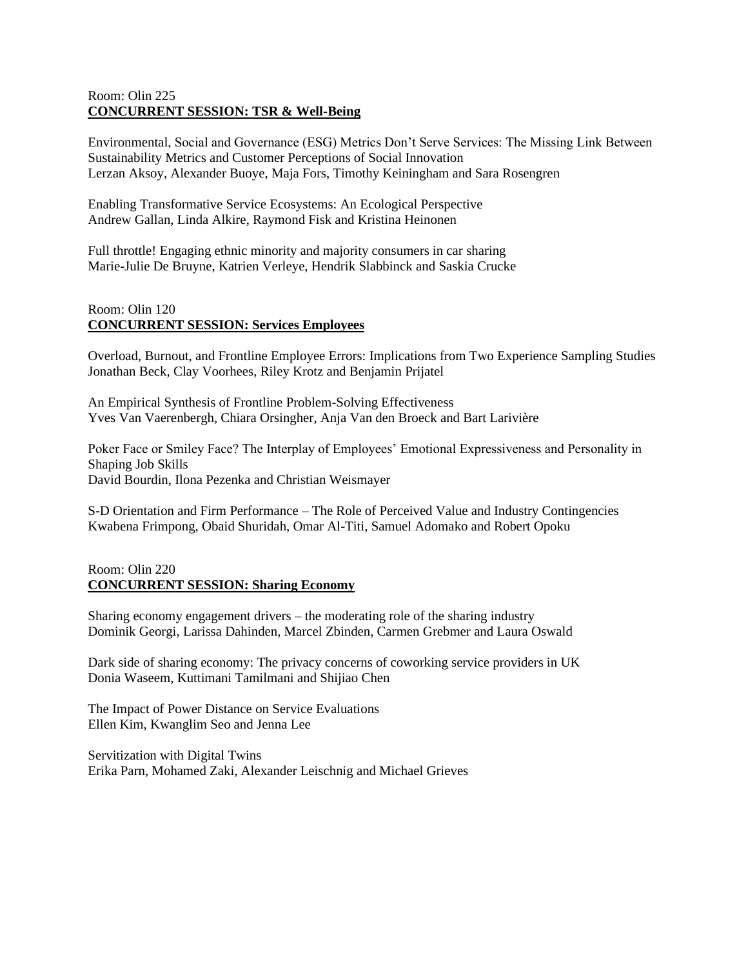## Room: Olin 225 **CONCURRENT SESSION: TSR & Well-Being**

Environmental, Social and Governance (ESG) Metrics Don't Serve Services: The Missing Link Between Sustainability Metrics and Customer Perceptions of Social Innovation Lerzan Aksoy, Alexander Buoye, Maja Fors, Timothy Keiningham and Sara Rosengren

Enabling Transformative Service Ecosystems: An Ecological Perspective Andrew Gallan, Linda Alkire, Raymond Fisk and Kristina Heinonen

Full throttle! Engaging ethnic minority and majority consumers in car sharing Marie-Julie De Bruyne, Katrien Verleye, Hendrik Slabbinck and Saskia Crucke

## Room: Olin 120 **CONCURRENT SESSION: Services Employees**

Overload, Burnout, and Frontline Employee Errors: Implications from Two Experience Sampling Studies Jonathan Beck, Clay Voorhees, Riley Krotz and Benjamin Prijatel

An Empirical Synthesis of Frontline Problem-Solving Effectiveness Yves Van Vaerenbergh, Chiara Orsingher, Anja Van den Broeck and Bart Larivière

Poker Face or Smiley Face? The Interplay of Employees' Emotional Expressiveness and Personality in Shaping Job Skills David Bourdin, Ilona Pezenka and Christian Weismayer

S-D Orientation and Firm Performance – The Role of Perceived Value and Industry Contingencies Kwabena Frimpong, Obaid Shuridah, Omar Al-Titi, Samuel Adomako and Robert Opoku

#### Room: Olin 220 **CONCURRENT SESSION: Sharing Economy**

Sharing economy engagement drivers – the moderating role of the sharing industry Dominik Georgi, Larissa Dahinden, Marcel Zbinden, Carmen Grebmer and Laura Oswald

Dark side of sharing economy: The privacy concerns of coworking service providers in UK Donia Waseem, Kuttimani Tamilmani and Shijiao Chen

The Impact of Power Distance on Service Evaluations Ellen Kim, Kwanglim Seo and Jenna Lee

Servitization with Digital Twins Erika Parn, Mohamed Zaki, Alexander Leischnig and Michael Grieves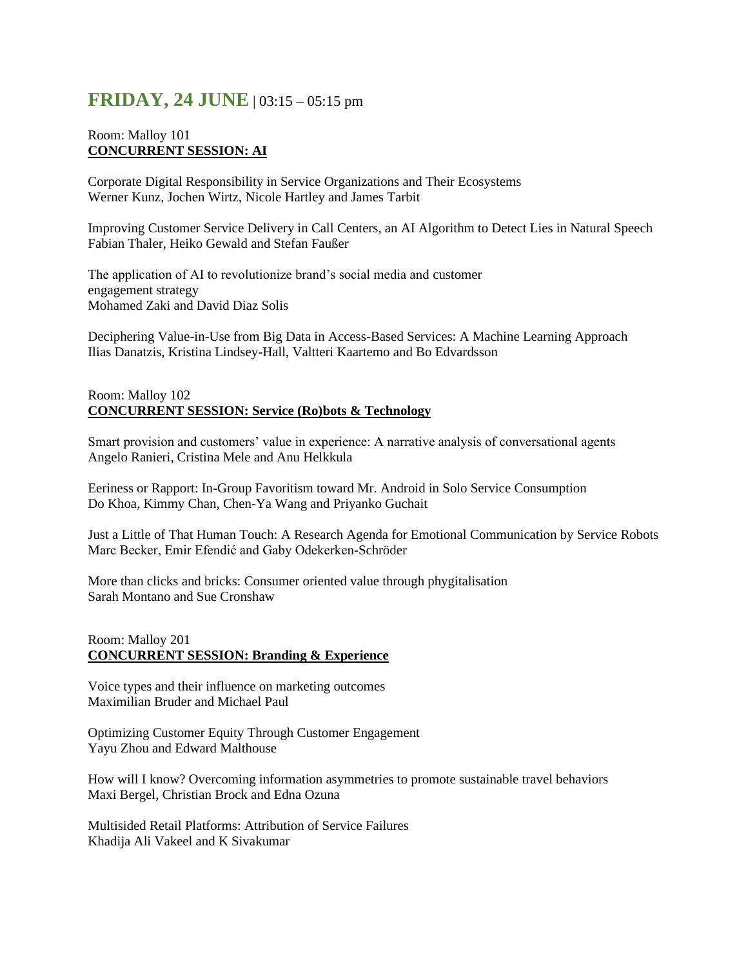# **FRIDAY, 24 JUNE** | 03:15 – 05:15 pm

## Room: Malloy 101 **CONCURRENT SESSION: AI**

Corporate Digital Responsibility in Service Organizations and Their Ecosystems Werner Kunz, Jochen Wirtz, Nicole Hartley and James Tarbit

Improving Customer Service Delivery in Call Centers, an AI Algorithm to Detect Lies in Natural Speech Fabian Thaler, Heiko Gewald and Stefan Faußer

The application of AI to revolutionize brand's social media and customer engagement strategy Mohamed Zaki and David Diaz Solis

Deciphering Value-in-Use from Big Data in Access-Based Services: A Machine Learning Approach Ilias Danatzis, Kristina Lindsey-Hall, Valtteri Kaartemo and Bo Edvardsson

#### Room: Malloy 102 **CONCURRENT SESSION: Service (Ro)bots & Technology**

Smart provision and customers' value in experience: A narrative analysis of conversational agents Angelo Ranieri, Cristina Mele and Anu Helkkula

Eeriness or Rapport: In-Group Favoritism toward Mr. Android in Solo Service Consumption Do Khoa, Kimmy Chan, Chen-Ya Wang and Priyanko Guchait

Just a Little of That Human Touch: A Research Agenda for Emotional Communication by Service Robots Marc Becker, Emir Efendić and Gaby Odekerken-Schröder

More than clicks and bricks: Consumer oriented value through phygitalisation Sarah Montano and Sue Cronshaw

## Room: Malloy 201 **CONCURRENT SESSION: Branding & Experience**

Voice types and their influence on marketing outcomes Maximilian Bruder and Michael Paul

Optimizing Customer Equity Through Customer Engagement Yayu Zhou and Edward Malthouse

How will I know? Overcoming information asymmetries to promote sustainable travel behaviors Maxi Bergel, Christian Brock and Edna Ozuna

Multisided Retail Platforms: Attribution of Service Failures Khadija Ali Vakeel and K Sivakumar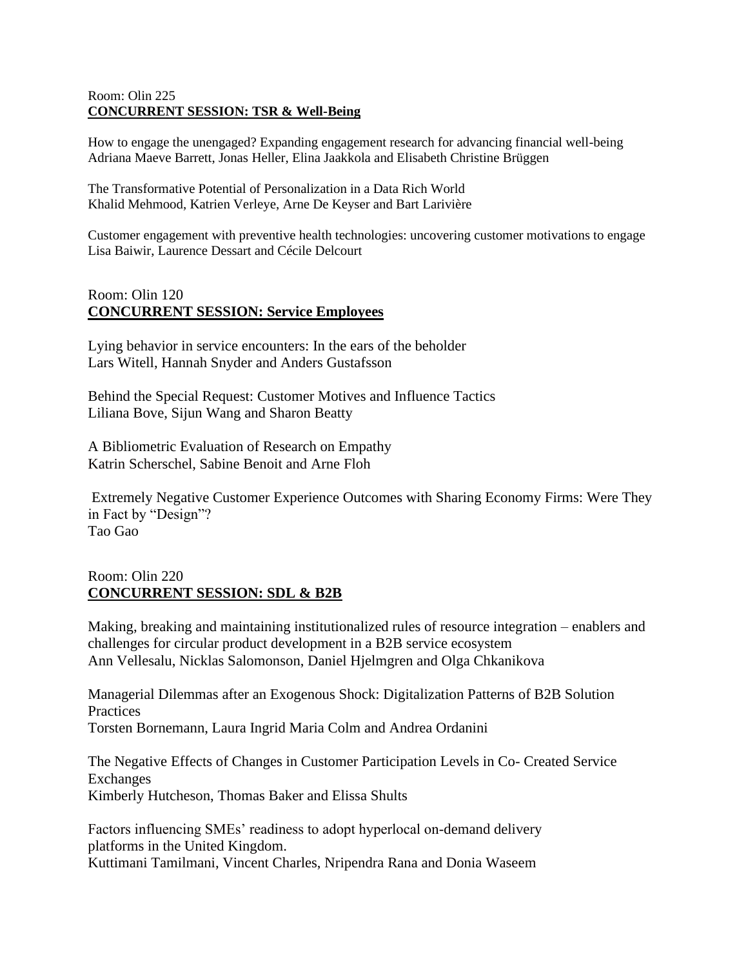## Room: Olin 225 **CONCURRENT SESSION: TSR & Well-Being**

How to engage the unengaged? Expanding engagement research for advancing financial well-being Adriana Maeve Barrett, Jonas Heller, Elina Jaakkola and Elisabeth Christine Brüggen

The Transformative Potential of Personalization in a Data Rich World Khalid Mehmood, Katrien Verleye, Arne De Keyser and Bart Larivière

Customer engagement with preventive health technologies: uncovering customer motivations to engage Lisa Baiwir, Laurence Dessart and Cécile Delcourt

# Room: Olin 120 **CONCURRENT SESSION: Service Employees**

Lying behavior in service encounters: In the ears of the beholder Lars Witell, Hannah Snyder and Anders Gustafsson

Behind the Special Request: Customer Motives and Influence Tactics Liliana Bove, Sijun Wang and Sharon Beatty

A Bibliometric Evaluation of Research on Empathy Katrin Scherschel, Sabine Benoit and Arne Floh

Extremely Negative Customer Experience Outcomes with Sharing Economy Firms: Were They in Fact by "Design"? Tao Gao

# Room: Olin 220 **CONCURRENT SESSION: SDL & B2B**

Making, breaking and maintaining institutionalized rules of resource integration – enablers and challenges for circular product development in a B2B service ecosystem Ann Vellesalu, Nicklas Salomonson, Daniel Hjelmgren and Olga Chkanikova

Managerial Dilemmas after an Exogenous Shock: Digitalization Patterns of B2B Solution **Practices** Torsten Bornemann, Laura Ingrid Maria Colm and Andrea Ordanini

The Negative Effects of Changes in Customer Participation Levels in Co- Created Service Exchanges Kimberly Hutcheson, Thomas Baker and Elissa Shults

Factors influencing SMEs' readiness to adopt hyperlocal on-demand delivery platforms in the United Kingdom. Kuttimani Tamilmani, Vincent Charles, Nripendra Rana and Donia Waseem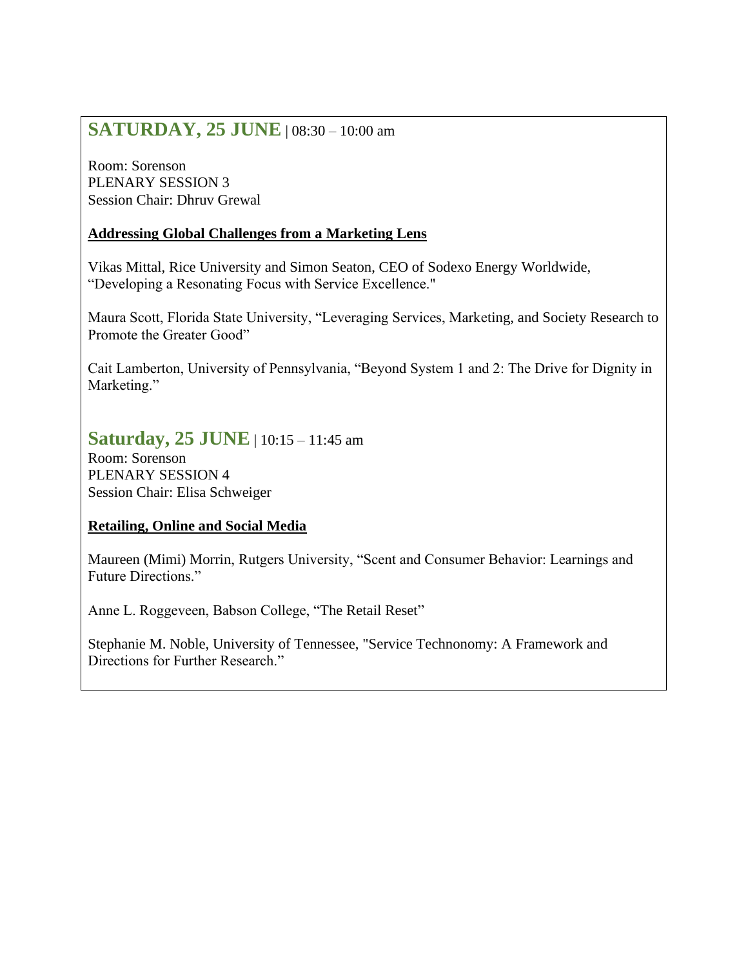# **SATURDAY, 25 JUNE** | 08:30 – 10:00 am

Room: Sorenson PLENARY SESSION 3 Session Chair: Dhruv Grewal

# **Addressing Global Challenges from a Marketing Lens**

Vikas Mittal, Rice University and Simon Seaton, CEO of Sodexo Energy Worldwide, "Developing a Resonating Focus with Service Excellence."

Maura Scott, Florida State University, "Leveraging Services, Marketing, and Society Research to Promote the Greater Good"

Cait Lamberton, University of Pennsylvania, "Beyond System 1 and 2: The Drive for Dignity in Marketing."

# **Saturday, 25 JUNE** | 10:15 – 11:45 am

Room: Sorenson PLENARY SESSION 4 Session Chair: Elisa Schweiger

# **Retailing, Online and Social Media**

Maureen (Mimi) Morrin, Rutgers University, "Scent and Consumer Behavior: Learnings and Future Directions."

Anne L. Roggeveen, Babson College, "The Retail Reset"

Stephanie M. Noble, University of Tennessee, "Service Technonomy: A Framework and Directions for Further Research."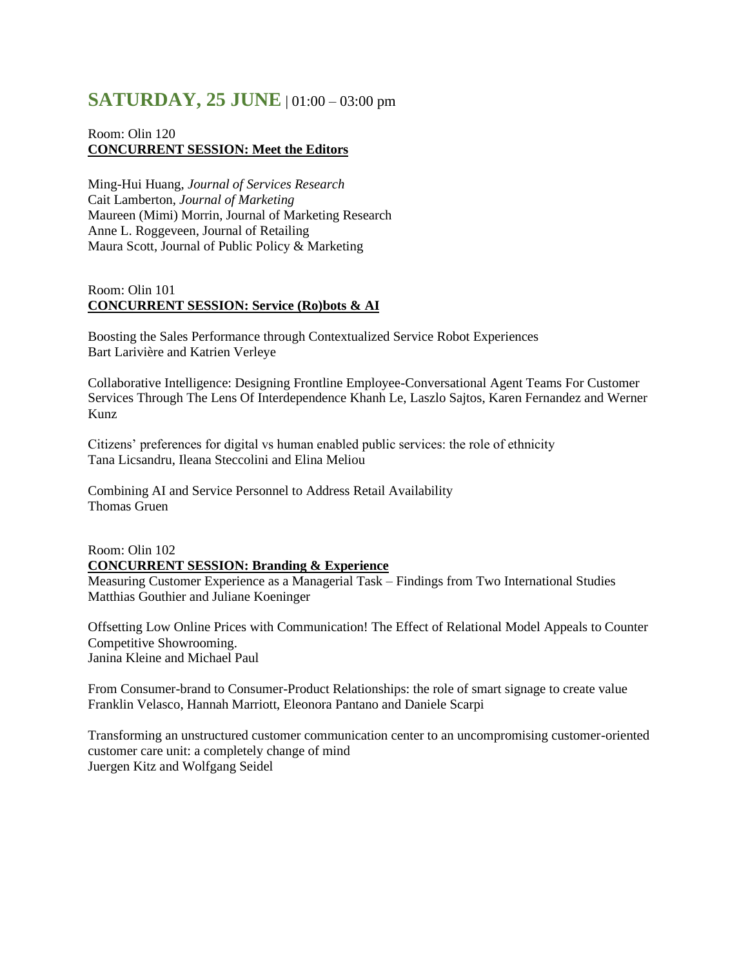# **SATURDAY, 25 JUNE** | 01:00 – 03:00 pm

## Room: Olin 120 **CONCURRENT SESSION: Meet the Editors**

Ming-Hui Huang, *Journal of Services Research* Cait Lamberton, *Journal of Marketing* Maureen (Mimi) Morrin, Journal of Marketing Research Anne L. Roggeveen, Journal of Retailing Maura Scott, Journal of Public Policy & Marketing

# Room: Olin 101 **CONCURRENT SESSION: Service (Ro)bots & AI**

Boosting the Sales Performance through Contextualized Service Robot Experiences Bart Larivière and Katrien Verleye

Collaborative Intelligence: Designing Frontline Employee-Conversational Agent Teams For Customer Services Through The Lens Of Interdependence Khanh Le, Laszlo Sajtos, Karen Fernandez and Werner Kunz

Citizens' preferences for digital vs human enabled public services: the role of ethnicity Tana Licsandru, Ileana Steccolini and Elina Meliou

Combining AI and Service Personnel to Address Retail Availability Thomas Gruen

## Room: Olin 102 **CONCURRENT SESSION: Branding & Experience**

Measuring Customer Experience as a Managerial Task – Findings from Two International Studies Matthias Gouthier and Juliane Koeninger

Offsetting Low Online Prices with Communication! The Effect of Relational Model Appeals to Counter Competitive Showrooming. Janina Kleine and Michael Paul

From Consumer-brand to Consumer-Product Relationships: the role of smart signage to create value Franklin Velasco, Hannah Marriott, Eleonora Pantano and Daniele Scarpi

Transforming an unstructured customer communication center to an uncompromising customer-oriented customer care unit: a completely change of mind Juergen Kitz and Wolfgang Seidel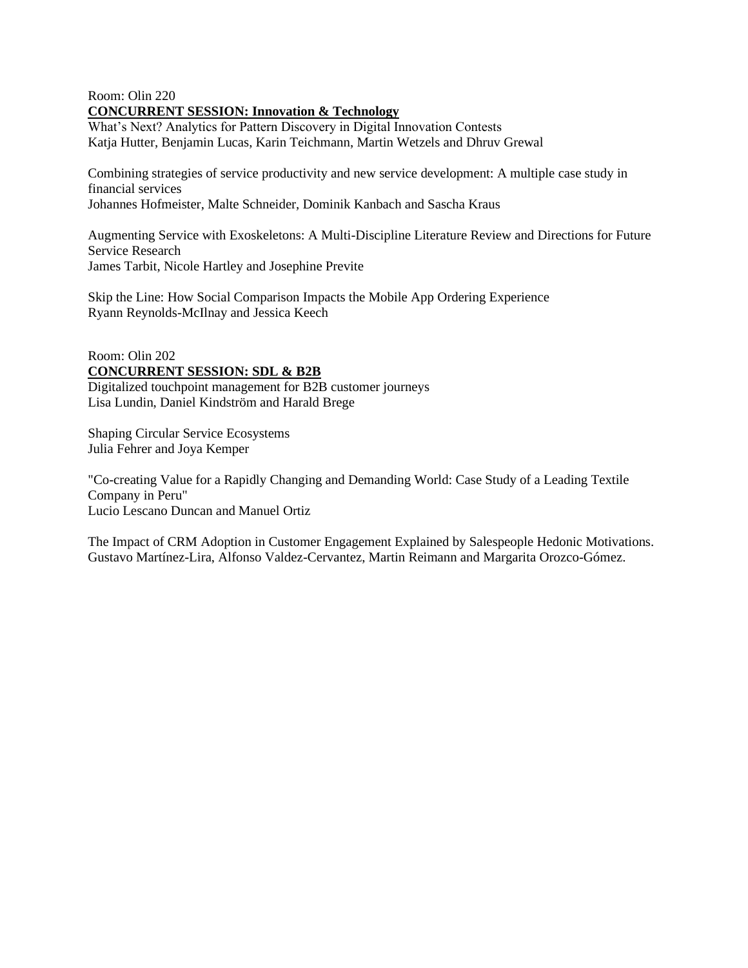#### Room: Olin 220 **CONCURRENT SESSION: Innovation & Technology**

What's Next? Analytics for Pattern Discovery in Digital Innovation Contests Katja Hutter, Benjamin Lucas, Karin Teichmann, Martin Wetzels and Dhruv Grewal

Combining strategies of service productivity and new service development: A multiple case study in financial services Johannes Hofmeister, Malte Schneider, Dominik Kanbach and Sascha Kraus

Augmenting Service with Exoskeletons: A Multi-Discipline Literature Review and Directions for Future Service Research James Tarbit, Nicole Hartley and Josephine Previte

Skip the Line: How Social Comparison Impacts the Mobile App Ordering Experience Ryann Reynolds-McIlnay and Jessica Keech

## Room: Olin 202 **CONCURRENT SESSION: SDL & B2B**

Digitalized touchpoint management for B2B customer journeys Lisa Lundin, Daniel Kindström and Harald Brege

Shaping Circular Service Ecosystems Julia Fehrer and Joya Kemper

"Co-creating Value for a Rapidly Changing and Demanding World: Case Study of a Leading Textile Company in Peru" Lucio Lescano Duncan and Manuel Ortiz

The Impact of CRM Adoption in Customer Engagement Explained by Salespeople Hedonic Motivations. Gustavo Martínez-Lira, Alfonso Valdez-Cervantez, Martin Reimann and Margarita Orozco-Gómez.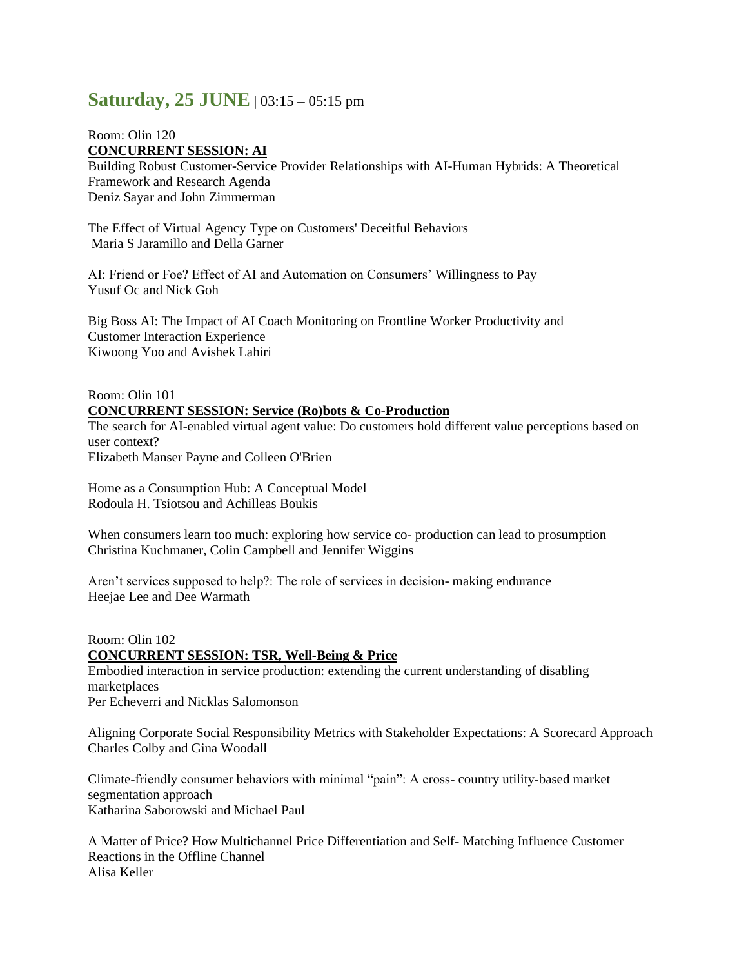# **Saturday, 25 JUNE**  $| 03:15 - 05:15 \text{ pm}$

## Room: Olin 120 **CONCURRENT SESSION: AI**

Building Robust Customer-Service Provider Relationships with AI-Human Hybrids: A Theoretical Framework and Research Agenda Deniz Sayar and John Zimmerman

The Effect of Virtual Agency Type on Customers' Deceitful Behaviors Maria S Jaramillo and Della Garner

AI: Friend or Foe? Effect of AI and Automation on Consumers' Willingness to Pay Yusuf Oc and Nick Goh

Big Boss AI: The Impact of AI Coach Monitoring on Frontline Worker Productivity and Customer Interaction Experience Kiwoong Yoo and Avishek Lahiri

# Room: Olin 101 **CONCURRENT SESSION: Service (Ro)bots & Co-Production**

The search for AI-enabled virtual agent value: Do customers hold different value perceptions based on user context? Elizabeth Manser Payne and Colleen O'Brien

Home as a Consumption Hub: A Conceptual Model Rodoula H. Tsiotsou and Achilleas Boukis

When consumers learn too much: exploring how service co- production can lead to prosumption Christina Kuchmaner, Colin Campbell and Jennifer Wiggins

Aren't services supposed to help?: The role of services in decision- making endurance Heejae Lee and Dee Warmath

Room: Olin 102 **CONCURRENT SESSION: TSR, Well-Being & Price** Embodied interaction in service production: extending the current understanding of disabling marketplaces Per Echeverri and Nicklas Salomonson

Aligning Corporate Social Responsibility Metrics with Stakeholder Expectations: A Scorecard Approach Charles Colby and Gina Woodall

Climate-friendly consumer behaviors with minimal "pain": A cross- country utility-based market segmentation approach Katharina Saborowski and Michael Paul

A Matter of Price? How Multichannel Price Differentiation and Self- Matching Influence Customer Reactions in the Offline Channel Alisa Keller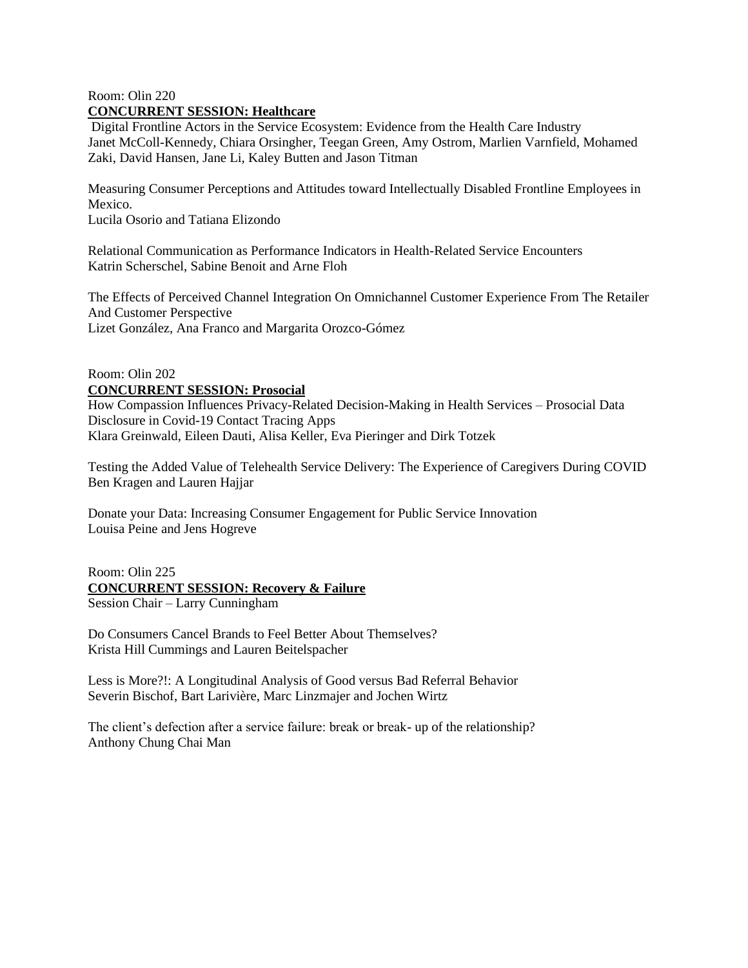#### Room: Olin 220 **CONCURRENT SESSION: Healthcare**

Digital Frontline Actors in the Service Ecosystem: Evidence from the Health Care Industry Janet McColl-Kennedy, Chiara Orsingher, Teegan Green, Amy Ostrom, Marlien Varnfield, Mohamed Zaki, David Hansen, Jane Li, Kaley Butten and Jason Titman

Measuring Consumer Perceptions and Attitudes toward Intellectually Disabled Frontline Employees in Mexico.

Lucila Osorio and Tatiana Elizondo

Relational Communication as Performance Indicators in Health-Related Service Encounters Katrin Scherschel, Sabine Benoit and Arne Floh

The Effects of Perceived Channel Integration On Omnichannel Customer Experience From The Retailer And Customer Perspective Lizet González, Ana Franco and Margarita Orozco-Gómez

## Room: Olin 202 **CONCURRENT SESSION: Prosocial**

How Compassion Influences Privacy-Related Decision-Making in Health Services – Prosocial Data Disclosure in Covid-19 Contact Tracing Apps Klara Greinwald, Eileen Dauti, Alisa Keller, Eva Pieringer and Dirk Totzek

Testing the Added Value of Telehealth Service Delivery: The Experience of Caregivers During COVID Ben Kragen and Lauren Hajjar

Donate your Data: Increasing Consumer Engagement for Public Service Innovation Louisa Peine and Jens Hogreve

## Room: Olin 225

## **CONCURRENT SESSION: Recovery & Failure**

Session Chair – Larry Cunningham

Do Consumers Cancel Brands to Feel Better About Themselves? Krista Hill Cummings and Lauren Beitelspacher

Less is More?!: A Longitudinal Analysis of Good versus Bad Referral Behavior Severin Bischof, Bart Larivière, Marc Linzmajer and Jochen Wirtz

The client's defection after a service failure: break or break- up of the relationship? Anthony Chung Chai Man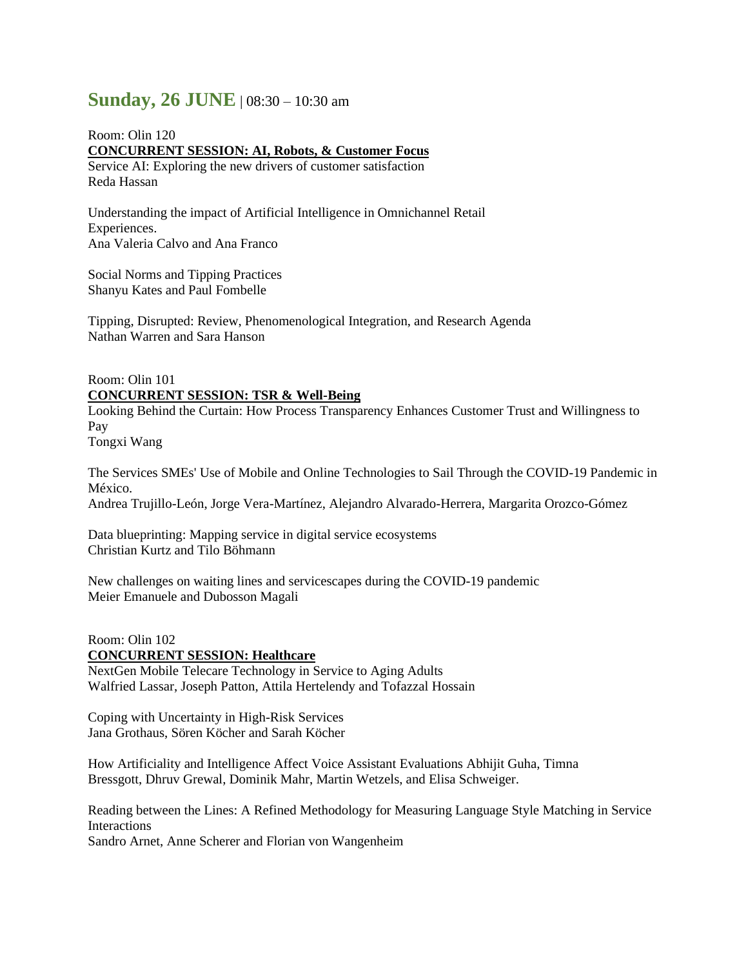# **Sunday, 26 JUNE** | 08:30 – 10:30 am

Room: Olin 120 **CONCURRENT SESSION: AI, Robots, & Customer Focus** Service AI: Exploring the new drivers of customer satisfaction Reda Hassan

Understanding the impact of Artificial Intelligence in Omnichannel Retail Experiences. Ana Valeria Calvo and Ana Franco

Social Norms and Tipping Practices Shanyu Kates and Paul Fombelle

Tipping, Disrupted: Review, Phenomenological Integration, and Research Agenda Nathan Warren and Sara Hanson

# Room: Olin 101 **CONCURRENT SESSION: TSR & Well-Being**

Looking Behind the Curtain: How Process Transparency Enhances Customer Trust and Willingness to Pay

Tongxi Wang

The Services SMEs' Use of Mobile and Online Technologies to Sail Through the COVID-19 Pandemic in México. Andrea Trujillo-León, Jorge Vera-Martínez, Alejandro Alvarado-Herrera, Margarita Orozco-Gómez

Data blueprinting: Mapping service in digital service ecosystems Christian Kurtz and Tilo Böhmann

New challenges on waiting lines and servicescapes during the COVID-19 pandemic Meier Emanuele and Dubosson Magali

Room: Olin 102 **CONCURRENT SESSION: Healthcare** NextGen Mobile Telecare Technology in Service to Aging Adults Walfried Lassar, Joseph Patton, Attila Hertelendy and Tofazzal Hossain

Coping with Uncertainty in High-Risk Services Jana Grothaus, Sören Köcher and Sarah Köcher

How Artificiality and Intelligence Affect Voice Assistant Evaluations Abhijit Guha, Timna Bressgott, Dhruv Grewal, Dominik Mahr, Martin Wetzels, and Elisa Schweiger.

Reading between the Lines: A Refined Methodology for Measuring Language Style Matching in Service **Interactions** 

Sandro Arnet, Anne Scherer and Florian von Wangenheim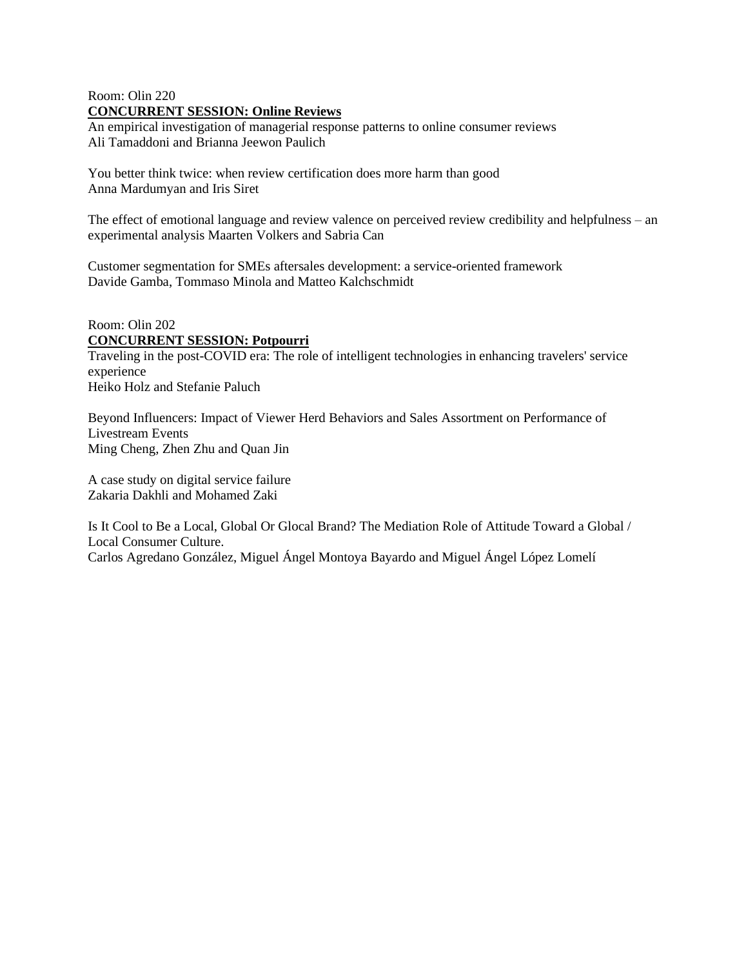## Room: Olin 220 **CONCURRENT SESSION: Online Reviews**

An empirical investigation of managerial response patterns to online consumer reviews Ali Tamaddoni and Brianna Jeewon Paulich

You better think twice: when review certification does more harm than good Anna Mardumyan and Iris Siret

The effect of emotional language and review valence on perceived review credibility and helpfulness – an experimental analysis Maarten Volkers and Sabria Can

Customer segmentation for SMEs aftersales development: a service-oriented framework Davide Gamba, Tommaso Minola and Matteo Kalchschmidt

## Room: Olin 202 **CONCURRENT SESSION: Potpourri**

Traveling in the post-COVID era: The role of intelligent technologies in enhancing travelers' service experience Heiko Holz and Stefanie Paluch

Beyond Influencers: Impact of Viewer Herd Behaviors and Sales Assortment on Performance of Livestream Events Ming Cheng, Zhen Zhu and Quan Jin

A case study on digital service failure Zakaria Dakhli and Mohamed Zaki

Is It Cool to Be a Local, Global Or Glocal Brand? The Mediation Role of Attitude Toward a Global / Local Consumer Culture. Carlos Agredano González, Miguel Ángel Montoya Bayardo and Miguel Ángel López Lomelí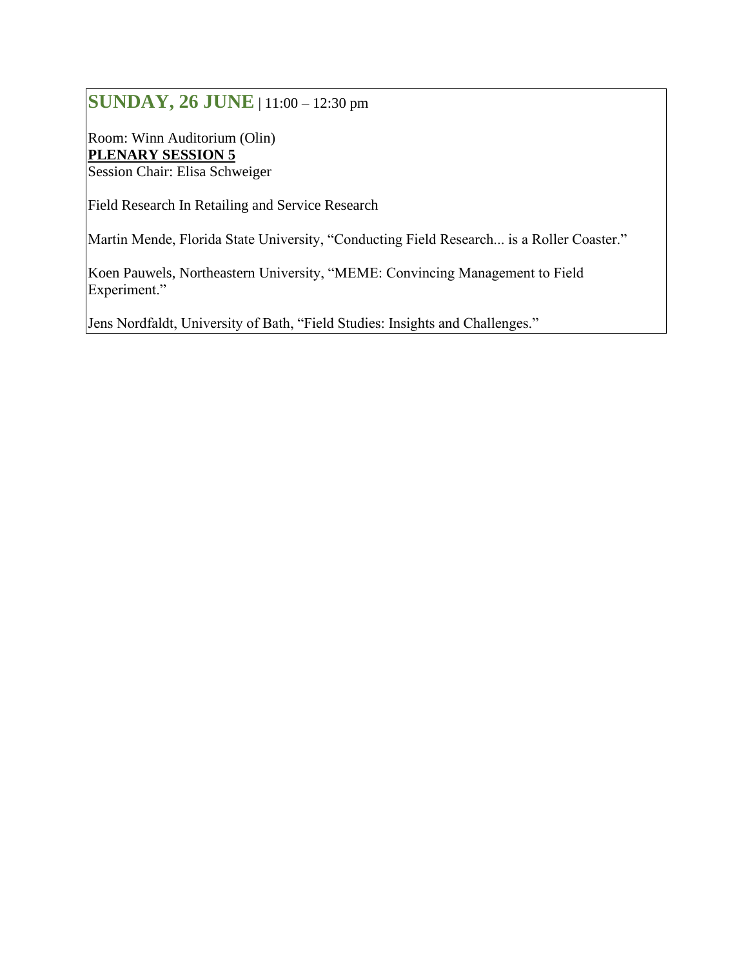# **SUNDAY, 26 JUNE** | 11:00 – 12:30 pm

Room: Winn Auditorium (Olin) **PLENARY SESSION 5** Session Chair: Elisa Schweiger

Field Research In Retailing and Service Research

Martin Mende, Florida State University, "Conducting Field Research... is a Roller Coaster."

Koen Pauwels, Northeastern University, "MEME: Convincing Management to Field Experiment."

Jens Nordfaldt, University of Bath, "Field Studies: Insights and Challenges."